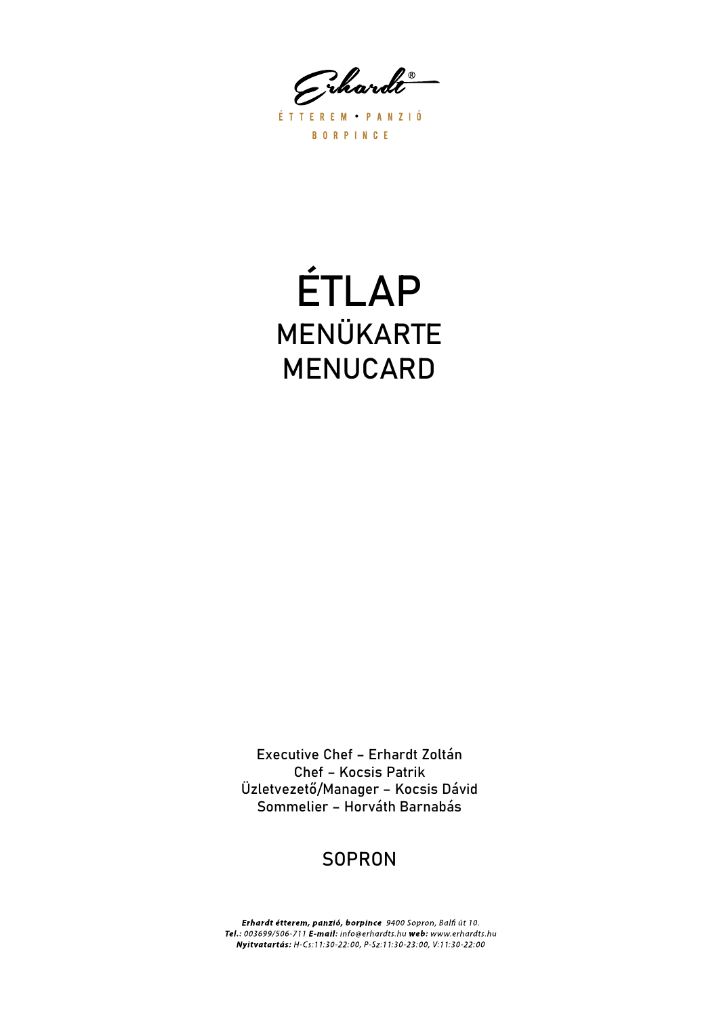Grhardt

ÉTTEREM PANZIÓ **BORPINCE** 

# ÉTLAP MENÜKARTE MENUCARD

Executive Chef – Erhardt Zoltán Chef – Kocsis Patrik Üzletvezető/Manager – Kocsis Dávid Sommelier – Horváth Barnabás

## **SOPRON**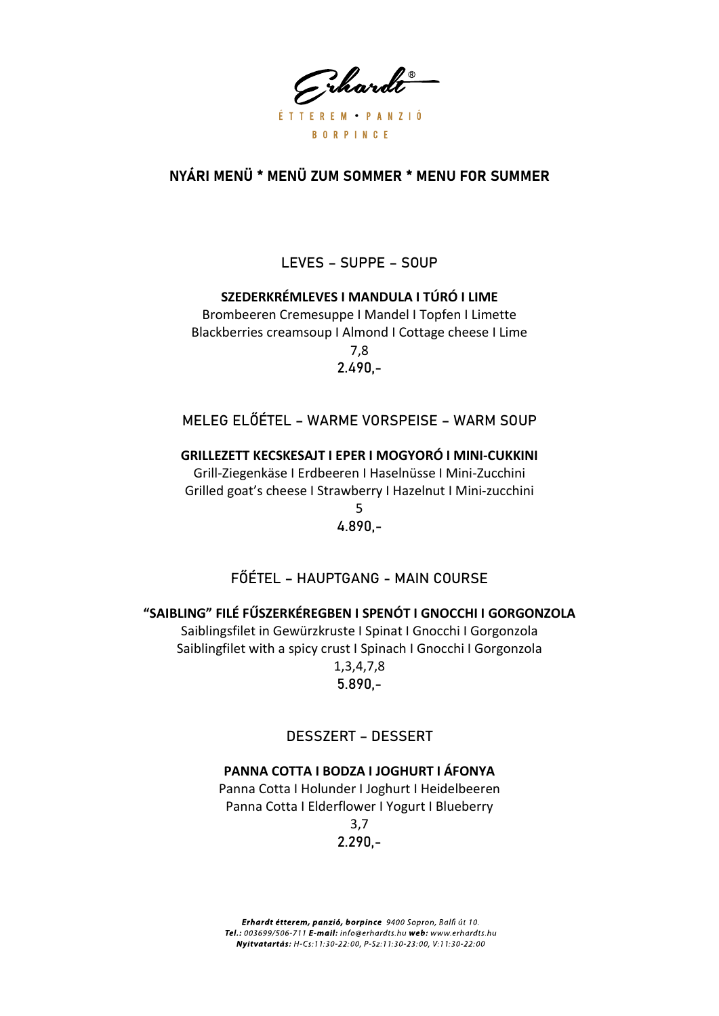Grhardt ÉTTEREM PANZIÓ **BORPINCE** 

## NYÁRI MENÜ \* MENÜ ZUM SOMMER \* MENU FOR SUMMER

LEVES - SUPPE - SOUP

SZEDERKRÉMLEVES I MANDULA I TÚRÓ I LIME Brombeeren Cremesuppe | Mandel | Topfen | Limette Blackberries creamsoup I Almond I Cottage cheese I Lime  $7.8$  $2.490 -$ 

MELEG ELŐÉTEL – WARME VORSPEISE – WARM SOUP

GRILLEZETT KECSKESAJT I EPER I MOGYORÓ I MINI-CUKKINI

Grill-Ziegenkäse I Erdbeeren I Haselnüsse I Mini-Zucchini Grilled goat's cheese I Strawberry I Hazelnut I Mini-zucchini

> 5  $4.890 -$

## FŐÉTEL – HAUPTGANG - MAIN COURSE

#### "SAIBLING" FILÉ FŰSZERKÉREGBEN I SPENÓT I GNOCCHI I GORGONZOLA

Saiblingsfilet in Gewürzkruste I Spinat I Gnocchi I Gorgonzola Saiblingfilet with a spicy crust I Spinach I Gnocchi I Gorgonzola  $1,3,4,7,8$  $5.890 -$ 

## **DESSZERT - DESSERT**

#### PANNA COTTA I BODZA I JOGHURT I ÁFONYA

Panna Cotta I Holunder I Joghurt I Heidelbeeren Panna Cotta I Elderflower I Yogurt I Blueberry  $3,7$ 

 $2.290 -$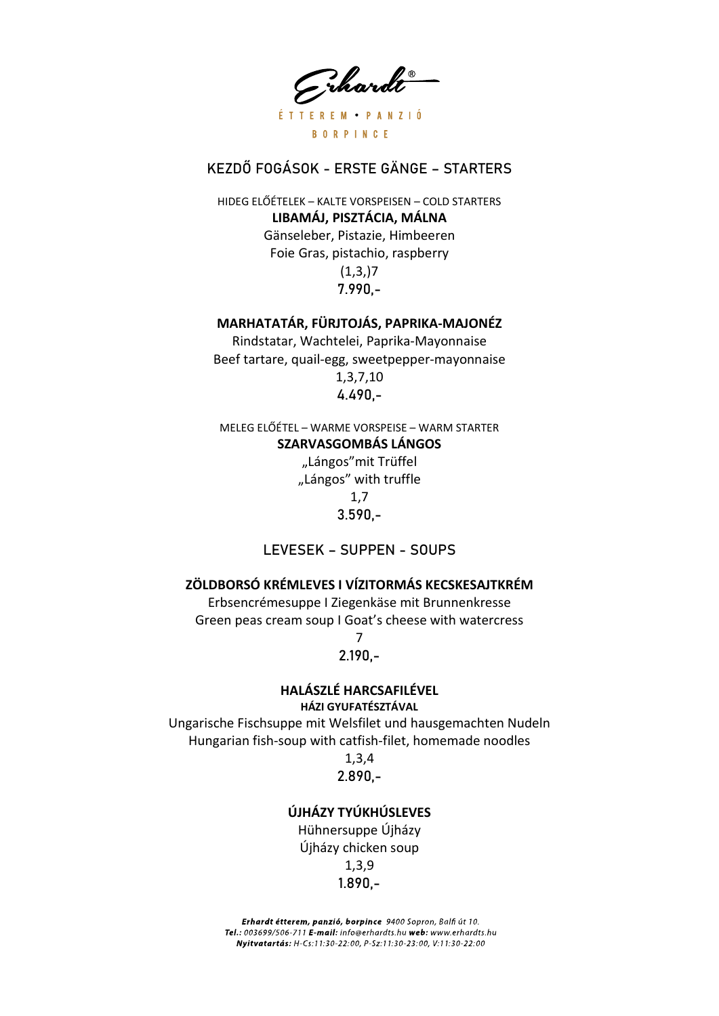Grhardt ÉTTEREM PANZIÓ **BORPINCE** 

## KEZDŐ FOGÁSOK - ERSTE GÄNGE – STARTERS

HIDEG ELŐÉTELEK – KALTE VORSPEISEN – COLD STARTERS LIBAMÁJ, PISZTÁCIA, MÁLNA Gänseleber, Pistazie, Himbeeren Foie Gras, pistachio, raspberry  $(1,3,1)7$ 7.990,-

#### MARHATATÁR, FÜRJTOJÁS, PAPRIKA-MAJONÉZ

Rindstatar, Wachtelei, Paprika-Mayonnaise Beef tartare, quail-egg, sweetpepper-mayonnaise 1,3,7,10 4.490,-

MELEG ELŐÉTEL – WARME VORSPEISE – WARM STARTER SZARVASGOMBÁS LÁNGOS

> "Lángos"mit Trüffel "Lángos" with truffle 1,7 3.590,-

LEVESEK – SUPPEN - SOUPS

#### ZÖLDBORSÓ KRÉMLEVES I VÍZITORMÁS KECSKESAJTKRÉM

Erbsencrémesuppe I Ziegenkäse mit Brunnenkresse Green peas cream soup I Goat's cheese with watercress

> 7 2.190,-

#### HALÁSZLÉ HARCSAFILÉVEL

HÁZI GYUFATÉSZTÁVAL

Ungarische Fischsuppe mit Welsfilet und hausgemachten Nudeln Hungarian fish-soup with catfish-filet, homemade noodles

#### 1,3,4 2.890,-

## ÚJHÁZY TYÚKHÚSLEVES

Hühnersuppe Újházy Újházy chicken soup 1,3,9 1.890,-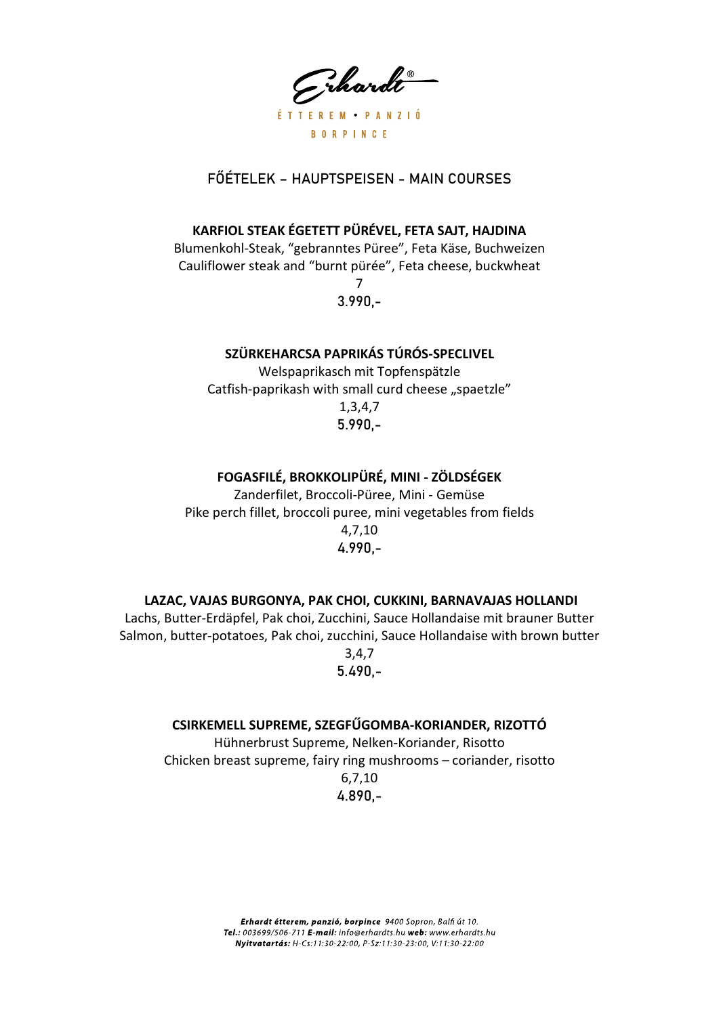Grhardt ÉTTEREM PANZIÓ **BORPINCE** 

## FŐÉTELEK – HAUPTSPEISEN - MAIN COURSES

#### KARFIOL STEAK ÉGETETT PÜRÉVEL, FETA SAJT, HAJDINA

Blumenkohl-Steak, "gebranntes Püree", Feta Käse, Buchweizen Cauliflower steak and "burnt pürée", Feta cheese, buckwheat 7

3.990,-

#### SZÜRKEHARCSA PAPRIKÁS TÚRÓS-SPECLIVEL

Welspaprikasch mit Topfenspätzle Catfish-paprikash with small curd cheese "spaetzle" 1,3,4,7 5.990,-

## FOGASFILÉ, BROKKOLIPÜRÉ, MINI - ZÖLDSÉGEK

Zanderfilet, Broccoli-Püree, Mini - Gemüse Pike perch fillet, broccoli puree, mini vegetables from fields 4,7,10 4.990,-

#### LAZAC, VAJAS BURGONYA, PAK CHOI, CUKKINI, BARNAVAJAS HOLLANDI

Lachs, Butter-Erdäpfel, Pak choi, Zucchini, Sauce Hollandaise mit brauner Butter Salmon, butter-potatoes, Pak choi, zucchini, Sauce Hollandaise with brown butter 3,4,7

5.490,-

#### CSIRKEMELL SUPREME, SZEGFŰGOMBA-KORIANDER, RIZOTTÓ

Hühnerbrust Supreme, Nelken-Koriander, Risotto Chicken breast supreme, fairy ring mushrooms – coriander, risotto 6,7,10 4.890,-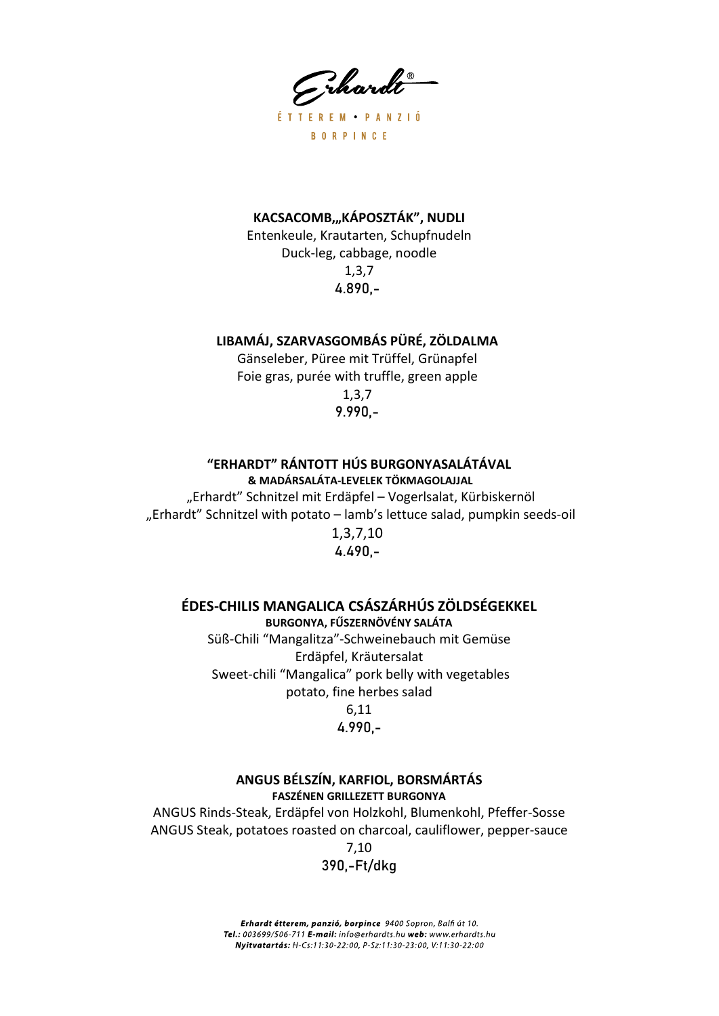Grhardt

ÉTTEREM · PANZIÓ **BORPINCE** 

#### KACSACOMB,"KÁPOSZTÁK", NUDLI

Entenkeule, Krautarten, Schupfnudeln Duck-leg, cabbage, noodle 1,3,7 4.890,-

#### LIBAMÁJ, SZARVASGOMBÁS PÜRÉ, ZÖLDALMA

Gänseleber, Püree mit Trüffel, Grünapfel Foie gras, purée with truffle, green apple 1,3,7 9.990,-

## "ERHARDT" RÁNTOTT HÚS BURGONYASALÁTÁVAL

& MADÁRSALÁTA-LEVELEK TÖKMAGOLAJJAL

"Erhardt" Schnitzel mit Erdäpfel – Vogerlsalat, Kürbiskernöl "Erhardt" Schnitzel with potato - lamb's lettuce salad, pumpkin seeds-oil 1,3,7,10 4.490,-

#### ÉDES-CHILIS MANGALICA CSÁSZÁRHÚS ZÖLDSÉGEKKEL

BURGONYA, FŰSZERNÖVÉNY SALÁTA Süß-Chili "Mangalitza"-Schweinebauch mit Gemüse Erdäpfel, Kräutersalat Sweet-chili "Mangalica" pork belly with vegetables potato, fine herbes salad 6,11

#### 4.990,-

#### ANGUS BÉLSZÍN, KARFIOL, BORSMÁRTÁS FASZÉNEN GRILLEZETT BURGONYA

ANGUS Rinds-Steak, Erdäpfel von Holzkohl, Blumenkohl, Pfeffer-Sosse ANGUS Steak, potatoes roasted on charcoal, cauliflower, pepper-sauce 7,10

390,-Ft/dkg